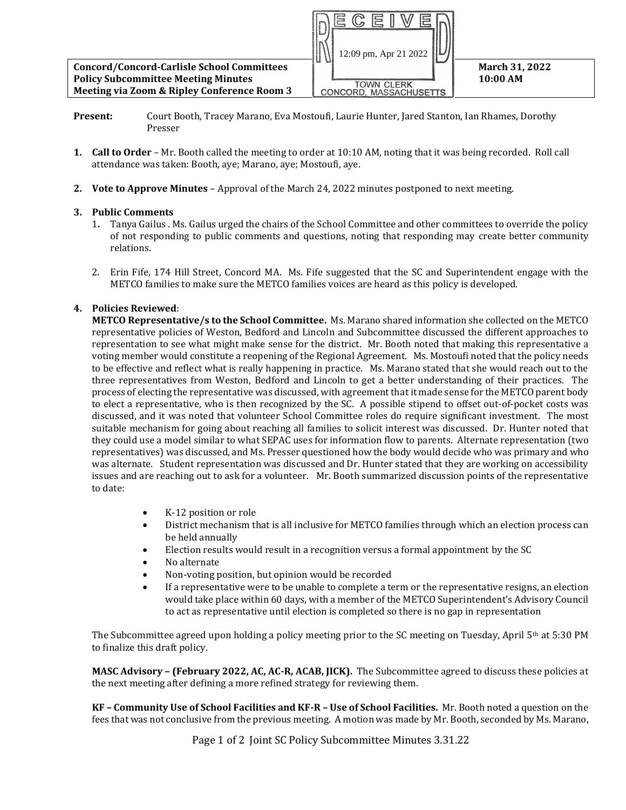

- **Present:** Court Booth, Tracey Marano, Eva Mostoufi, Laurie Hunter, Jared Stanton, Ian Rhames, Dorothy Presser
- **1. Call to Order** Mr. Booth called the meeting to order at 10:10 AM, noting that it was being recorded. Roll call attendance was taken: Booth, aye; Marano, aye; Mostoufi, aye.
- **2. Vote to Approve Minutes**  Approval of the March 24, 2022 minutes postponed to next meeting.

## **3. Public Comments**

- 1**.** Tanya Gailus . Ms. Gailus urged the chairs of the School Committee and other committees to override the policy of not responding to public comments and questions, noting that responding may create better community relations.
- 2. Erin Fife, 174 Hill Street, Concord MA. Ms. Fife suggested that the SC and Superintendent engage with the METCO families to make sure the METCO families voices are heard as this policy is developed.

## **4. Policies Reviewed**:

**METCO Representative/s to the School Committee.** Ms. Marano shared information she collected on the METCO representative policies of Weston, Bedford and Lincoln and Subcommittee discussed the different approaches to representation to see what might make sense for the district. Mr. Booth noted that making this representative a voting member would constitute a reopening of the Regional Agreement. Ms. Mostoufi noted that the policy needs to be effective and reflect what is really happening in practice. Ms. Marano stated that she would reach out to the three representatives from Weston, Bedford and Lincoln to get a better understanding of their practices. The process of electing the representative was discussed, with agreement that it made sense for the METCO parent body to elect a representative, who is then recognized by the SC. A possible stipend to offset out-of-pocket costs was discussed, and it was noted that volunteer School Committee roles do require significant investment. The most suitable mechanism for going about reaching all families to solicit interest was discussed. Dr. Hunter noted that they could use a model similar to what SEPAC uses for information flow to parents. Alternate representation (two representatives) was discussed, and Ms. Presser questioned how the body would decide who was primary and who was alternate. Student representation was discussed and Dr. Hunter stated that they are working on accessibility issues and are reaching out to ask for a volunteer. Mr. Booth summarized discussion points of the representative to date:

- K-12 position or role
- District mechanism that is all inclusive for METCO families through which an election process can be held annually
- Election results would result in a recognition versus a formal appointment by the SC
- No alternate
- Non-voting position, but opinion would be recorded
- If a representative were to be unable to complete a term or the representative resigns, an election would take place within 60 days, with a member of the METCO Superintendent's Advisory Council to act as representative until election is completed so there is no gap in representation

The Subcommittee agreed upon holding a policy meeting prior to the SC meeting on Tuesday, April  $5<sup>th</sup>$  at 5:30 PM to finalize this draft policy.

**MASC Advisory – (February 2022, AC, AC-R, ACAB, JICK).** The Subcommittee agreed to discuss these policies at the next meeting after defining a more refined strategy for reviewing them.

**KF – Community Use of School Facilities and KF-R – Use of School Facilities.** Mr. Booth noted a question on the fees that was not conclusive from the previous meeting. A motion was made by Mr. Booth, seconded by Ms. Marano,

Page 1 of 2 Joint SC Policy Subcommittee Minutes 3.31.22